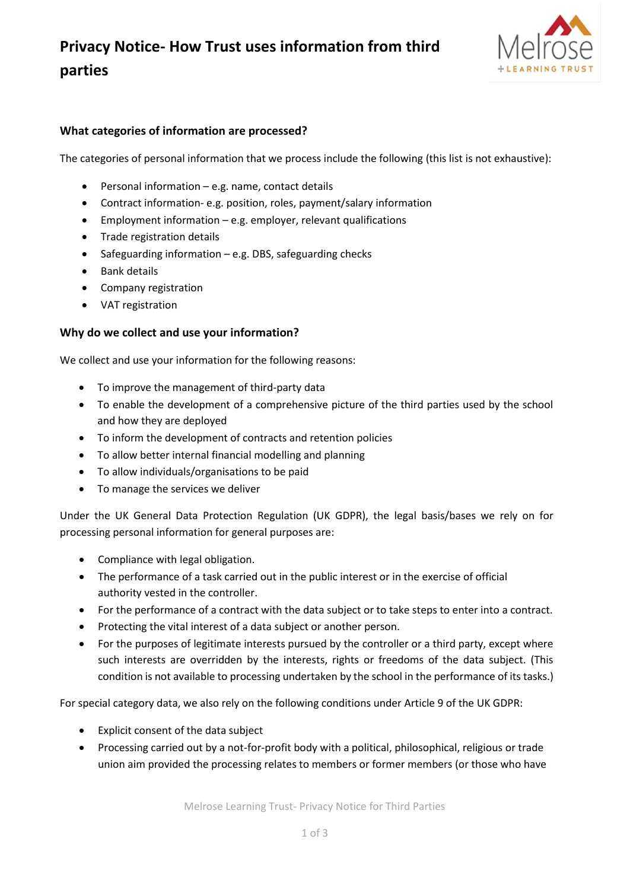# **Privacy Notice- How Trust uses information from third parties**



## **What categories of information are processed?**

The categories of personal information that we process include the following (this list is not exhaustive):

- Personal information  $-$  e.g. name, contact details
- Contract information- e.g. position, roles, payment/salary information
- Employment information e.g. employer, relevant qualifications
- Trade registration details
- Safeguarding information e.g. DBS, safeguarding checks
- Bank details
- Company registration
- VAT registration

#### **Why do we collect and use your information?**

We collect and use your information for the following reasons:

- To improve the management of third-party data
- To enable the development of a comprehensive picture of the third parties used by the school and how they are deployed
- To inform the development of contracts and retention policies
- To allow better internal financial modelling and planning
- To allow individuals/organisations to be paid
- To manage the services we deliver

Under the UK General Data Protection Regulation (UK GDPR), the legal basis/bases we rely on for processing personal information for general purposes are:

- Compliance with legal obligation.
- The performance of a task carried out in the public interest or in the exercise of official authority vested in the controller.
- For the performance of a contract with the data subject or to take steps to enter into a contract.
- Protecting the vital interest of a data subject or another person.
- For the purposes of legitimate interests pursued by the controller or a third party, except where such interests are overridden by the interests, rights or freedoms of the data subject. (This condition is not available to processing undertaken by the school in the performance of its tasks.)

For special category data, we also rely on the following conditions under Article 9 of the UK GDPR:

- Explicit consent of the data subject
- Processing carried out by a not-for-profit body with a political, philosophical, religious or trade union aim provided the processing relates to members or former members (or those who have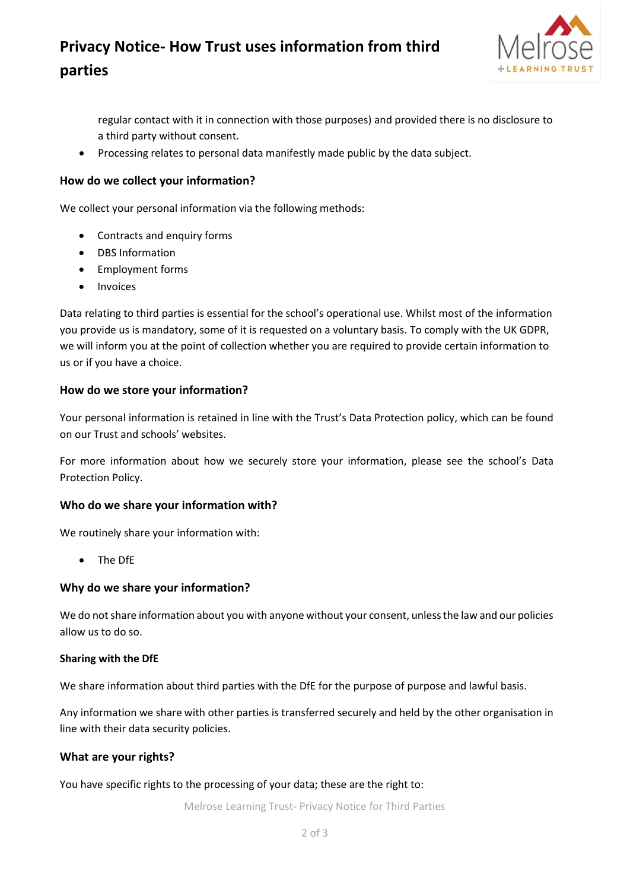# **Privacy Notice- How Trust uses information from third parties**



regular contact with it in connection with those purposes) and provided there is no disclosure to a third party without consent.

• Processing relates to personal data manifestly made public by the data subject.

### **How do we collect your information?**

We collect your personal information via the following methods:

- Contracts and enquiry forms
- DBS Information
- Employment forms
- Invoices

Data relating to third parties is essential for the school's operational use. Whilst most of the information you provide us is mandatory, some of it is requested on a voluntary basis. To comply with the UK GDPR, we will inform you at the point of collection whether you are required to provide certain information to us or if you have a choice.

### **How do we store your information?**

Your personal information is retained in line with the Trust's Data Protection policy, which can be found on our Trust and schools' websites.

For more information about how we securely store your information, please see the school's Data Protection Policy.

### **Who do we share your information with?**

We routinely share your information with:

• The DfE

### **Why do we share your information?**

We do not share information about you with anyone without your consent, unless the law and our policies allow us to do so.

#### **Sharing with the DfE**

We share information about third parties with the DfE for the purpose of purpose and lawful basis.

Any information we share with other parties is transferred securely and held by the other organisation in line with their data security policies.

### **What are your rights?**

You have specific rights to the processing of your data; these are the right to:

Melrose Learning Trust- Privacy Notice for Third Parties